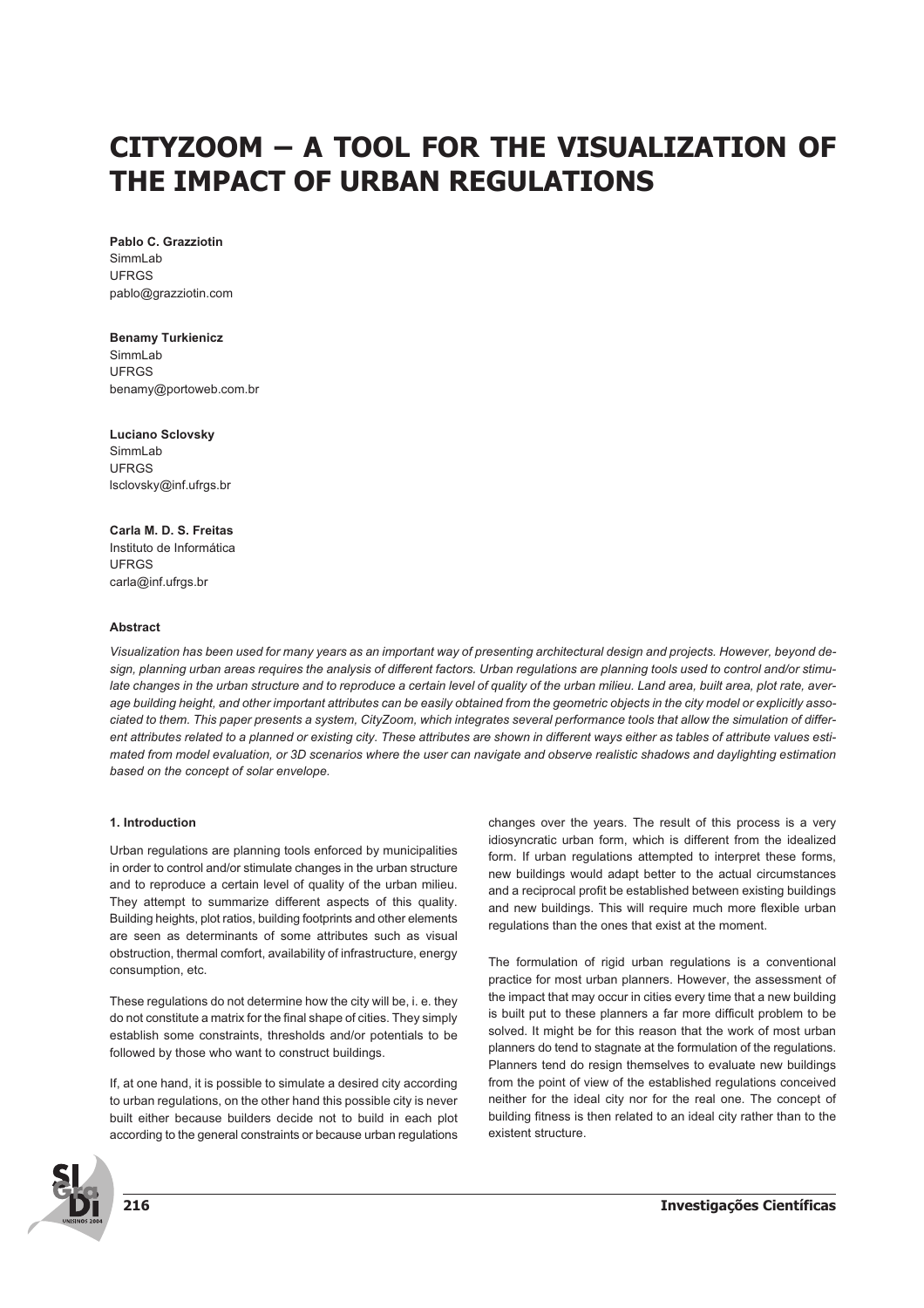# **CITYZOOM – A TOOL FOR THE VISUALIZATION OF THE IMPACT OF URBAN REGULATIONS**

**Pablo C. Grazziotin** SimmLab UFRGS pablo@grazziotin.com

# **Benamy Turkienicz**

SimmLah UFRGS benamy@portoweb.com.br

**Luciano Sclovsky** SimmLab UFRGS lsclovsky@inf.ufrgs.br

**Carla M. D. S. Freitas** Instituto de Informática UFRGS carla@inf.ufrgs.br

# **Abstract**

*Visualization has been used for many years as an important way of presenting architectural design and projects. However, beyond design, planning urban areas requires the analysis of different factors. Urban regulations are planning tools used to control and/or stimulate changes in the urban structure and to reproduce a certain level of quality of the urban milieu. Land area, built area, plot rate, average building height, and other important attributes can be easily obtained from the geometric objects in the city model or explicitly associated to them. This paper presents a system, CityZoom, which integrates several performance tools that allow the simulation of different attributes related to a planned or existing city. These attributes are shown in different ways either as tables of attribute values estimated from model evaluation, or 3D scenarios where the user can navigate and observe realistic shadows and daylighting estimation based on the concept of solar envelope.*

### **1. Introduction**

Urban regulations are planning tools enforced by municipalities in order to control and/or stimulate changes in the urban structure and to reproduce a certain level of quality of the urban milieu. They attempt to summarize different aspects of this quality. Building heights, plot ratios, building footprints and other elements are seen as determinants of some attributes such as visual obstruction, thermal comfort, availability of infrastructure, energy consumption, etc.

These regulations do not determine how the city will be, i. e. they do not constitute a matrix for the final shape of cities. They simply establish some constraints, thresholds and/or potentials to be followed by those who want to construct buildings.

If, at one hand, it is possible to simulate a desired city according to urban regulations, on the other hand this possible city is never built either because builders decide not to build in each plot according to the general constraints or because urban regulations changes over the years. The result of this process is a very idiosyncratic urban form, which is different from the idealized form. If urban regulations attempted to interpret these forms, new buildings would adapt better to the actual circumstances and a reciprocal profit be established between existing buildings and new buildings. This will require much more flexible urban regulations than the ones that exist at the moment.

The formulation of rigid urban regulations is a conventional practice for most urban planners. However, the assessment of the impact that may occur in cities every time that a new building is built put to these planners a far more difficult problem to be solved. It might be for this reason that the work of most urban planners do tend to stagnate at the formulation of the regulations. Planners tend do resign themselves to evaluate new buildings from the point of view of the established regulations conceived neither for the ideal city nor for the real one. The concept of building fitness is then related to an ideal city rather than to the existent structure.

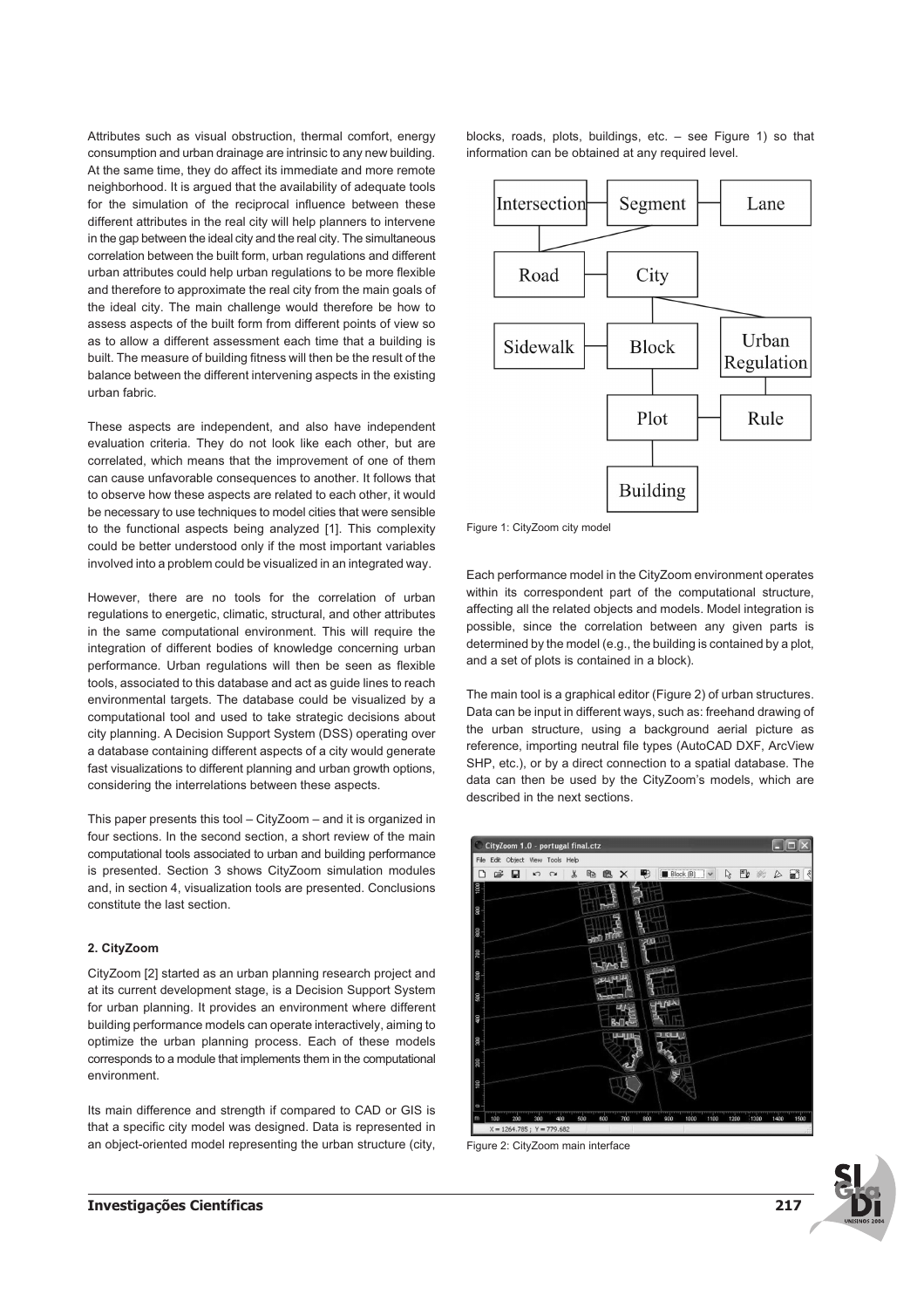Attributes such as visual obstruction, thermal comfort, energy consumption and urban drainage are intrinsic to any new building. At the same time, they do affect its immediate and more remote neighborhood. It is argued that the availability of adequate tools for the simulation of the reciprocal influence between these different attributes in the real city will help planners to intervene in the gap between the ideal city and the real city. The simultaneous correlation between the built form, urban regulations and different urban attributes could help urban regulations to be more flexible and therefore to approximate the real city from the main goals of the ideal city. The main challenge would therefore be how to assess aspects of the built form from different points of view so as to allow a different assessment each time that a building is built. The measure of building fitness will then be the result of the balance between the different intervening aspects in the existing urban fabric.

These aspects are independent, and also have independent evaluation criteria. They do not look like each other, but are correlated, which means that the improvement of one of them can cause unfavorable consequences to another. It follows that to observe how these aspects are related to each other, it would be necessary to use techniques to model cities that were sensible to the functional aspects being analyzed [1]. This complexity could be better understood only if the most important variables involved into a problem could be visualized in an integrated way.

However, there are no tools for the correlation of urban regulations to energetic, climatic, structural, and other attributes in the same computational environment. This will require the integration of different bodies of knowledge concerning urban performance. Urban regulations will then be seen as flexible tools, associated to this database and act as guide lines to reach environmental targets. The database could be visualized by a computational tool and used to take strategic decisions about city planning. A Decision Support System (DSS) operating over a database containing different aspects of a city would generate fast visualizations to different planning and urban growth options, considering the interrelations between these aspects.

This paper presents this tool – CityZoom – and it is organized in four sections. In the second section, a short review of the main computational tools associated to urban and building performance is presented. Section 3 shows CityZoom simulation modules and, in section 4, visualization tools are presented. Conclusions constitute the last section.

#### **2. CityZoom**

CityZoom [2] started as an urban planning research project and at its current development stage, is a Decision Support System for urban planning. It provides an environment where different building performance models can operate interactively, aiming to optimize the urban planning process. Each of these models corresponds to a module that implements them in the computational environment.

Its main difference and strength if compared to CAD or GIS is that a specific city model was designed. Data is represented in an object-oriented model representing the urban structure (city, blocks, roads, plots, buildings, etc. – see Figure 1) so that information can be obtained at any required level.



Figure 1: CityZoom city model

Each performance model in the CityZoom environment operates within its correspondent part of the computational structure, affecting all the related objects and models. Model integration is possible, since the correlation between any given parts is determined by the model (e.g., the building is contained by a plot, and a set of plots is contained in a block).

The main tool is a graphical editor (Figure 2) of urban structures. Data can be input in different ways, such as: freehand drawing of the urban structure, using a background aerial picture as reference, importing neutral file types (AutoCAD DXF, ArcView SHP, etc.), or by a direct connection to a spatial database. The data can then be used by the CityZoom's models, which are described in the next sections.



Figure 2: CityZoom main interface

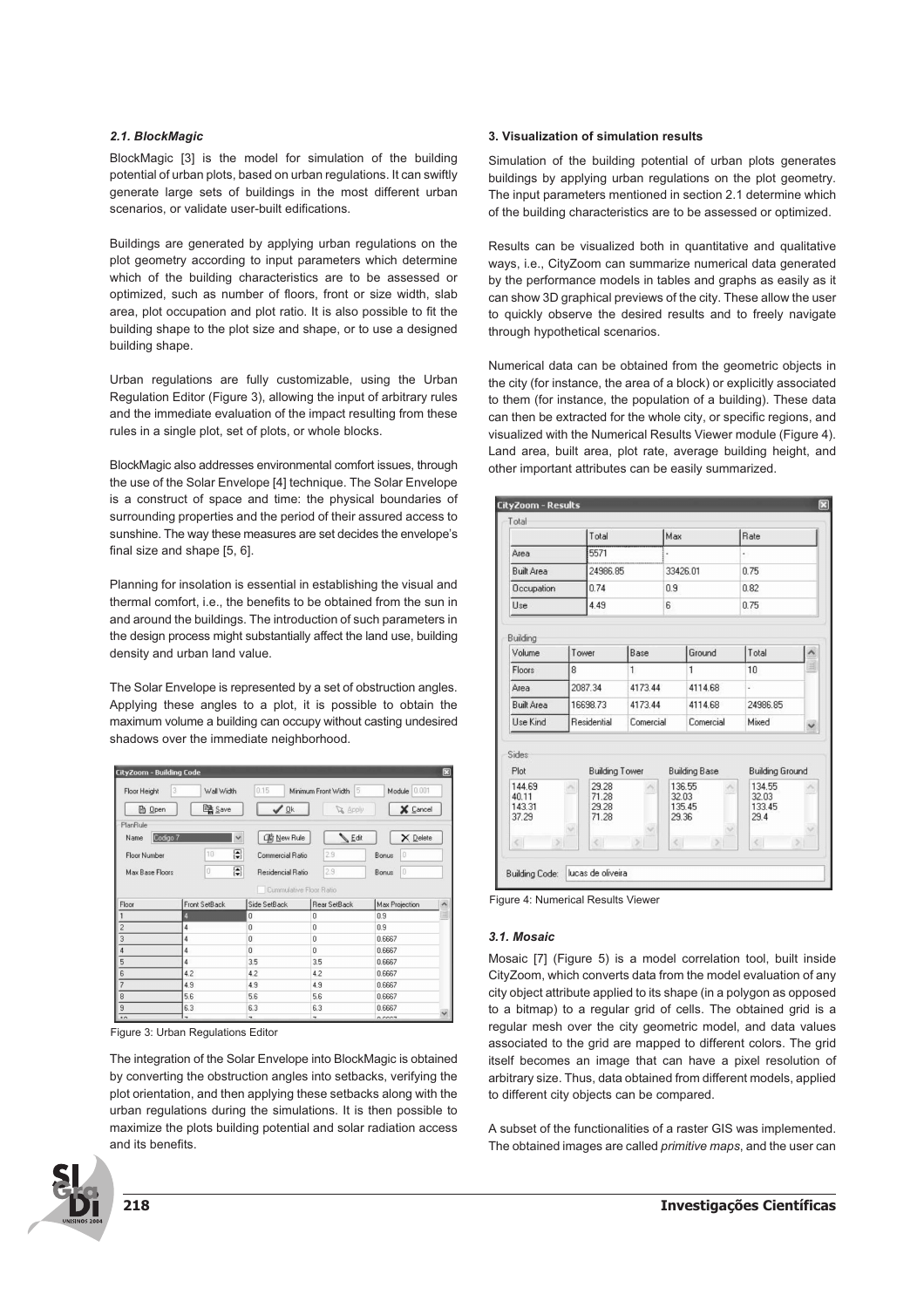## **2.1. BlockMagic**

BlockMagic [3] is the model for simulation of the building potential of urban plots, based on urban regulations. It can swiftly generate large sets of buildings in the most different urban scenarios, or validate user-built edifications.

Buildings are generated by applying urban regulations on the plot geometry according to input parameters which determine which of the building characteristics are to be assessed or optimized, such as number of floors, front or size width, slab area, plot occupation and plot ratio. It is also possible to fit the building shape to the plot size and shape, or to use a designed building shape.

Urban regulations are fully customizable, using the Urban Regulation Editor (Figure 3), allowing the input of arbitrary rules and the immediate evaluation of the impact resulting from these rules in a single plot, set of plots, or whole blocks.

BlockMagic also addresses environmental comfort issues, through the use of the Solar Envelope [4] technique. The Solar Envelope is a construct of space and time: the physical boundaries of surrounding properties and the period of their assured access to sunshine. The way these measures are set decides the envelope's final size and shape [5, 6].

Planning for insolation is essential in establishing the visual and thermal comfort, i.e., the benefits to be obtained from the sun in and around the buildings. The introduction of such parameters in the design process might substantially affect the land use, building density and urban land value.

The Solar Envelope is represented by a set of obstruction angles. Applying these angles to a plot, it is possible to obtain the maximum volume a building can occupy without casting undesired shadows over the immediate neighborhood.



Figure 3: Urban Regulations Editor

The integration of the Solar Envelope into BlockMagic is obtained by converting the obstruction angles into setbacks, verifying the plot orientation, and then applying these setbacks along with the urban regulations during the simulations. It is then possible to maximize the plots building potential and solar radiation access and its benefits.

# **3. Visualization of simulation results**

Simulation of the building potential of urban plots generates buildings by applying urban regulations on the plot geometry. The input parameters mentioned in section 2.1 determine which of the building characteristics are to be assessed or optimized.

Results can be visualized both in quantitative and qualitative ways, i.e., CityZoom can summarize numerical data generated by the performance models in tables and graphs as easily as it can show 3D graphical previews of the city. These allow the user to quickly observe the desired results and to freely navigate through hypothetical scenarios.

Numerical data can be obtained from the geometric objects in the city (for instance, the area of a block) or explicitly associated to them (for instance, the population of a building). These data can then be extracted for the whole city, or specific regions, and visualized with the Numerical Results Viewer module (Figure 4). Land area, built area, plot rate, average building height, and other important attributes can be easily summarized.



Figure 4: Numerical Results Viewer

#### **3.1. Mosaic**

Mosaic [7] (Figure 5) is a model correlation tool, built inside CityZoom, which converts data from the model evaluation of any city object attribute applied to its shape (in a polygon as opposed to a bitmap) to a regular grid of cells. The obtained grid is a regular mesh over the city geometric model, and data values associated to the grid are mapped to different colors. The grid itself becomes an image that can have a pixel resolution of arbitrary size. Thus, data obtained from different models, applied to different city objects can be compared.

A subset of the functionalities of a raster GIS was implemented. The obtained images are called *primitive maps*, and the user can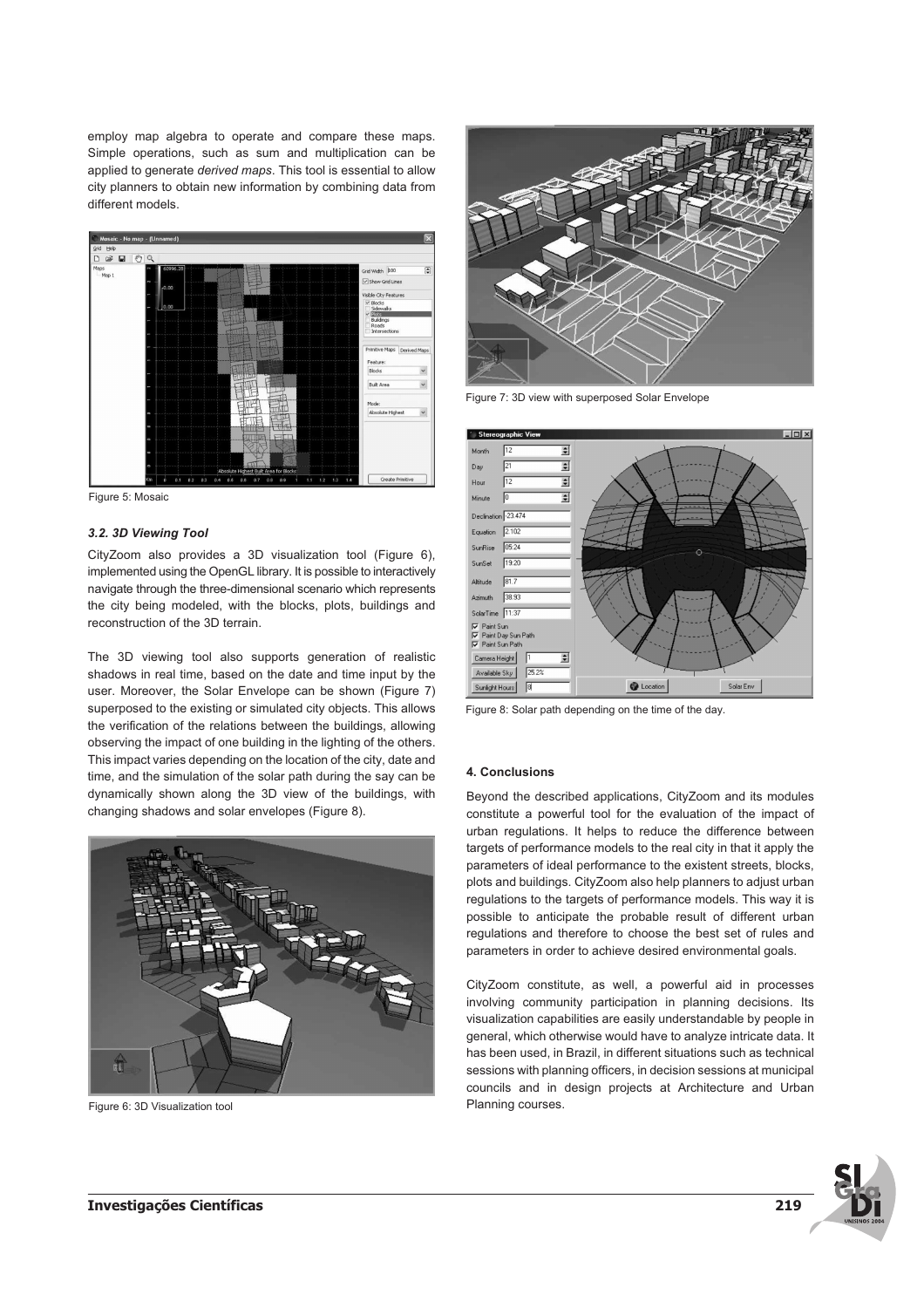employ map algebra to operate and compare these maps. Simple operations, such as sum and multiplication can be applied to generate *derived maps*. This tool is essential to allow city planners to obtain new information by combining data from different models.



Figure 5: Mosaic

#### **3.2. 3D Viewing Tool**

CityZoom also provides a 3D visualization tool (Figure 6), implemented using the OpenGL library. It is possible to interactively navigate through the three-dimensional scenario which represents the city being modeled, with the blocks, plots, buildings and reconstruction of the 3D terrain.

The 3D viewing tool also supports generation of realistic shadows in real time, based on the date and time input by the user. Moreover, the Solar Envelope can be shown (Figure 7) superposed to the existing or simulated city objects. This allows the verification of the relations between the buildings, allowing observing the impact of one building in the lighting of the others. This impact varies depending on the location of the city, date and time, and the simulation of the solar path during the say can be dynamically shown along the 3D view of the buildings, with changing shadows and solar envelopes (Figure 8).



Figure 6: 3D Visualization tool



Figure 7: 3D view with superposed Solar Envelope



Figure 8: Solar path depending on the time of the day.

#### **4. Conclusions**

Beyond the described applications, CityZoom and its modules constitute a powerful tool for the evaluation of the impact of urban regulations. It helps to reduce the difference between targets of performance models to the real city in that it apply the parameters of ideal performance to the existent streets, blocks, plots and buildings. CityZoom also help planners to adjust urban regulations to the targets of performance models. This way it is possible to anticipate the probable result of different urban regulations and therefore to choose the best set of rules and parameters in order to achieve desired environmental goals.

CityZoom constitute, as well, a powerful aid in processes involving community participation in planning decisions. Its visualization capabilities are easily understandable by people in general, which otherwise would have to analyze intricate data. It has been used, in Brazil, in different situations such as technical sessions with planning officers, in decision sessions at municipal councils and in design projects at Architecture and Urban Planning courses.